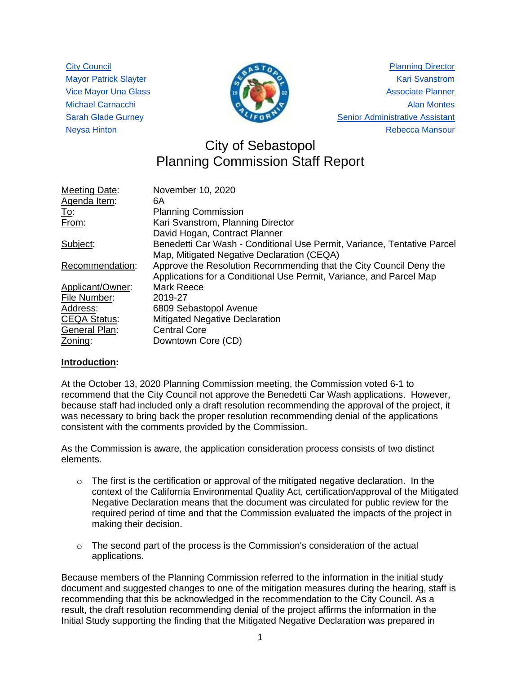City Council Mayor Patrick Slayter Vice Mayor Una Glass Michael Carnacchi Sarah Glade Gurney Neysa Hinton



Planning Director Kari Svanstrom Associate Planner Alan Montes Senior Administrative Assistant Rebecca Mansour

# City of Sebastopol Planning Commission Staff Report

| Meeting Date:       | November 10, 2020                                                       |
|---------------------|-------------------------------------------------------------------------|
| Agenda Item:        | 6A                                                                      |
| <u>To:</u>          | <b>Planning Commission</b>                                              |
| From:               | Kari Svanstrom, Planning Director                                       |
|                     | David Hogan, Contract Planner                                           |
| Subject:            | Benedetti Car Wash - Conditional Use Permit, Variance, Tentative Parcel |
|                     | Map, Mitigated Negative Declaration (CEQA)                              |
| Recommendation:     | Approve the Resolution Recommending that the City Council Deny the      |
|                     | Applications for a Conditional Use Permit, Variance, and Parcel Map     |
| Applicant/Owner:    | Mark Reece                                                              |
| File Number:        | 2019-27                                                                 |
| Address:            | 6809 Sebastopol Avenue                                                  |
| <b>CEQA Status:</b> | Mitigated Negative Declaration                                          |
| General Plan:       | <b>Central Core</b>                                                     |
| Zoning:             | Downtown Core (CD)                                                      |

# **Introduction:**

At the October 13, 2020 Planning Commission meeting, the Commission voted 6-1 to recommend that the City Council not approve the Benedetti Car Wash applications. However, because staff had included only a draft resolution recommending the approval of the project, it was necessary to bring back the proper resolution recommending denial of the applications consistent with the comments provided by the Commission.

As the Commission is aware, the application consideration process consists of two distinct elements.

- $\circ$  The first is the certification or approval of the mitigated negative declaration. In the context of the California Environmental Quality Act, certification/approval of the Mitigated Negative Declaration means that the document was circulated for public review for the required period of time and that the Commission evaluated the impacts of the project in making their decision.
- $\circ$  The second part of the process is the Commission's consideration of the actual applications.

Because members of the Planning Commission referred to the information in the initial study document and suggested changes to one of the mitigation measures during the hearing, staff is recommending that this be acknowledged in the recommendation to the City Council. As a result, the draft resolution recommending denial of the project affirms the information in the Initial Study supporting the finding that the Mitigated Negative Declaration was prepared in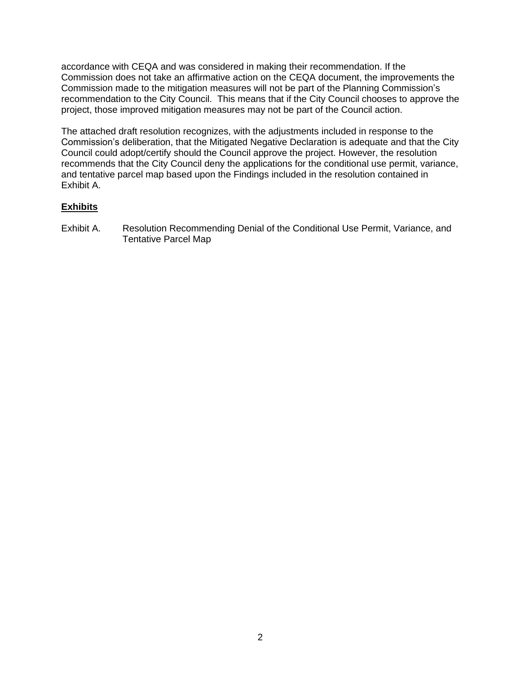accordance with CEQA and was considered in making their recommendation. If the Commission does not take an affirmative action on the CEQA document, the improvements the Commission made to the mitigation measures will not be part of the Planning Commission's recommendation to the City Council. This means that if the City Council chooses to approve the project, those improved mitigation measures may not be part of the Council action.

The attached draft resolution recognizes, with the adjustments included in response to the Commission's deliberation, that the Mitigated Negative Declaration is adequate and that the City Council could adopt/certify should the Council approve the project. However, the resolution recommends that the City Council deny the applications for the conditional use permit, variance, and tentative parcel map based upon the Findings included in the resolution contained in Exhibit A.

# **Exhibits**

Exhibit A. Resolution Recommending Denial of the Conditional Use Permit, Variance, and Tentative Parcel Map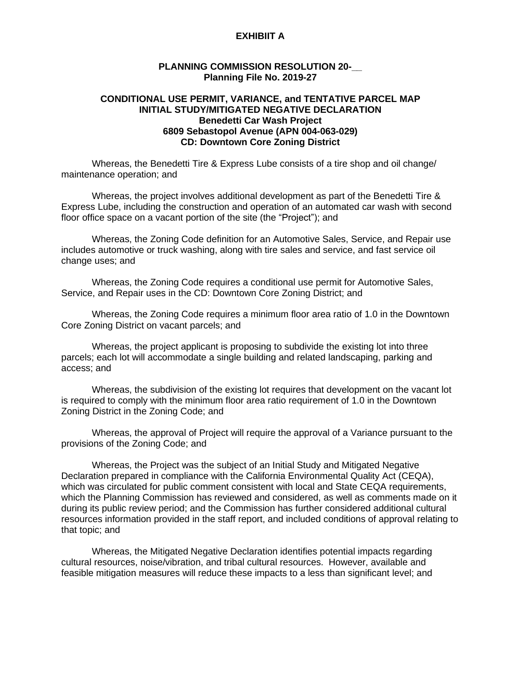## **EXHIBIIT A**

## **PLANNING COMMISSION RESOLUTION 20-\_\_ Planning File No. 2019-27**

## **CONDITIONAL USE PERMIT, VARIANCE, and TENTATIVE PARCEL MAP INITIAL STUDY/MITIGATED NEGATIVE DECLARATION Benedetti Car Wash Project 6809 Sebastopol Avenue (APN 004-063-029) CD: Downtown Core Zoning District**

Whereas, the Benedetti Tire & Express Lube consists of a tire shop and oil change/ maintenance operation; and

Whereas, the project involves additional development as part of the Benedetti Tire & Express Lube, including the construction and operation of an automated car wash with second floor office space on a vacant portion of the site (the "Project"); and

Whereas, the Zoning Code definition for an Automotive Sales, Service, and Repair use includes automotive or truck washing, along with tire sales and service, and fast service oil change uses; and

Whereas, the Zoning Code requires a conditional use permit for Automotive Sales, Service, and Repair uses in the CD: Downtown Core Zoning District; and

Whereas, the Zoning Code requires a minimum floor area ratio of 1.0 in the Downtown Core Zoning District on vacant parcels; and

Whereas, the project applicant is proposing to subdivide the existing lot into three parcels; each lot will accommodate a single building and related landscaping, parking and access; and

Whereas, the subdivision of the existing lot requires that development on the vacant lot is required to comply with the minimum floor area ratio requirement of 1.0 in the Downtown Zoning District in the Zoning Code; and

Whereas, the approval of Project will require the approval of a Variance pursuant to the provisions of the Zoning Code; and

Whereas, the Project was the subject of an Initial Study and Mitigated Negative Declaration prepared in compliance with the California Environmental Quality Act (CEQA), which was circulated for public comment consistent with local and State CEQA requirements, which the Planning Commission has reviewed and considered, as well as comments made on it during its public review period; and the Commission has further considered additional cultural resources information provided in the staff report, and included conditions of approval relating to that topic; and

Whereas, the Mitigated Negative Declaration identifies potential impacts regarding cultural resources, noise/vibration, and tribal cultural resources. However, available and feasible mitigation measures will reduce these impacts to a less than significant level; and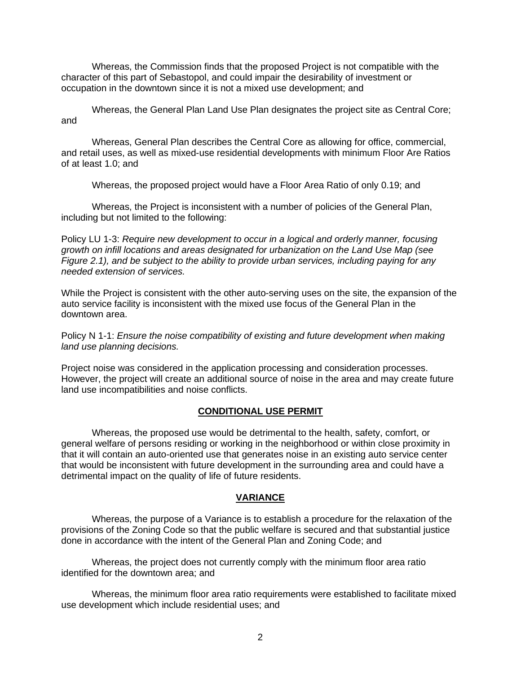Whereas, the Commission finds that the proposed Project is not compatible with the character of this part of Sebastopol, and could impair the desirability of investment or occupation in the downtown since it is not a mixed use development; and

Whereas, the General Plan Land Use Plan designates the project site as Central Core; and

Whereas, General Plan describes the Central Core as allowing for office, commercial, and retail uses, as well as mixed-use residential developments with minimum Floor Are Ratios of at least 1.0; and

Whereas, the proposed project would have a Floor Area Ratio of only 0.19; and

Whereas, the Project is inconsistent with a number of policies of the General Plan, including but not limited to the following:

Policy LU 1-3: *Require new development to occur in a logical and orderly manner, focusing growth on infill locations and areas designated for urbanization on the Land Use Map (see Figure 2.1), and be subject to the ability to provide urban services, including paying for any needed extension of services.*

While the Project is consistent with the other auto-serving uses on the site, the expansion of the auto service facility is inconsistent with the mixed use focus of the General Plan in the downtown area.

Policy N 1-1: *Ensure the noise compatibility of existing and future development when making land use planning decisions.*

Project noise was considered in the application processing and consideration processes. However, the project will create an additional source of noise in the area and may create future land use incompatibilities and noise conflicts.

#### **CONDITIONAL USE PERMIT**

Whereas, the proposed use would be detrimental to the health, safety, comfort, or general welfare of persons residing or working in the neighborhood or within close proximity in that it will contain an auto-oriented use that generates noise in an existing auto service center that would be inconsistent with future development in the surrounding area and could have a detrimental impact on the quality of life of future residents.

#### **VARIANCE**

Whereas, the purpose of a Variance is to establish a procedure for the relaxation of the provisions of the Zoning Code so that the public welfare is secured and that substantial justice done in accordance with the intent of the General Plan and Zoning Code; and

Whereas, the project does not currently comply with the minimum floor area ratio identified for the downtown area; and

Whereas, the minimum floor area ratio requirements were established to facilitate mixed use development which include residential uses; and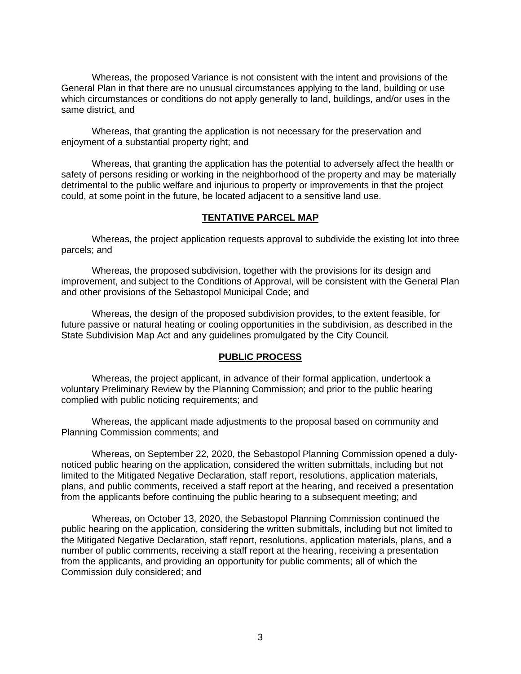Whereas, the proposed Variance is not consistent with the intent and provisions of the General Plan in that there are no unusual circumstances applying to the land, building or use which circumstances or conditions do not apply generally to land, buildings, and/or uses in the same district, and

Whereas, that granting the application is not necessary for the preservation and enjoyment of a substantial property right; and

Whereas, that granting the application has the potential to adversely affect the health or safety of persons residing or working in the neighborhood of the property and may be materially detrimental to the public welfare and injurious to property or improvements in that the project could, at some point in the future, be located adjacent to a sensitive land use.

#### **TENTATIVE PARCEL MAP**

Whereas, the project application requests approval to subdivide the existing lot into three parcels; and

Whereas, the proposed subdivision, together with the provisions for its design and improvement, and subject to the Conditions of Approval, will be consistent with the General Plan and other provisions of the Sebastopol Municipal Code; and

Whereas, the design of the proposed subdivision provides, to the extent feasible, for future passive or natural heating or cooling opportunities in the subdivision, as described in the State Subdivision Map Act and any guidelines promulgated by the City Council.

## **PUBLIC PROCESS**

Whereas, the project applicant, in advance of their formal application, undertook a voluntary Preliminary Review by the Planning Commission; and prior to the public hearing complied with public noticing requirements; and

Whereas, the applicant made adjustments to the proposal based on community and Planning Commission comments; and

Whereas, on September 22, 2020, the Sebastopol Planning Commission opened a dulynoticed public hearing on the application, considered the written submittals, including but not limited to the Mitigated Negative Declaration, staff report, resolutions, application materials, plans, and public comments, received a staff report at the hearing, and received a presentation from the applicants before continuing the public hearing to a subsequent meeting; and

Whereas, on October 13, 2020, the Sebastopol Planning Commission continued the public hearing on the application, considering the written submittals, including but not limited to the Mitigated Negative Declaration, staff report, resolutions, application materials, plans, and a number of public comments, receiving a staff report at the hearing, receiving a presentation from the applicants, and providing an opportunity for public comments; all of which the Commission duly considered; and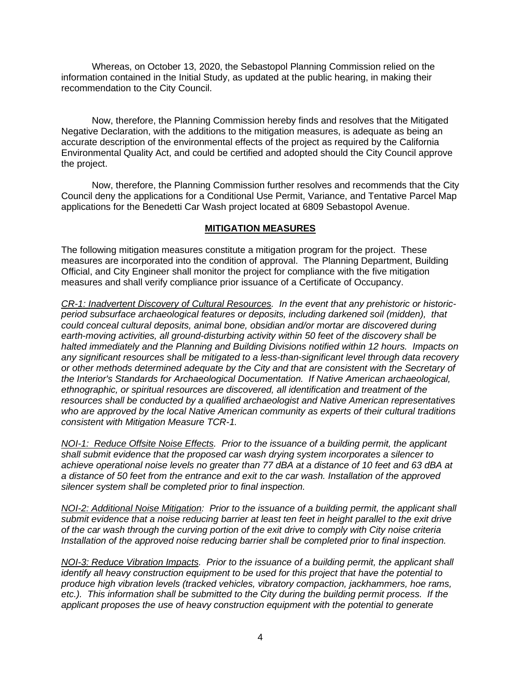Whereas, on October 13, 2020, the Sebastopol Planning Commission relied on the information contained in the Initial Study, as updated at the public hearing, in making their recommendation to the City Council.

Now, therefore, the Planning Commission hereby finds and resolves that the Mitigated Negative Declaration, with the additions to the mitigation measures, is adequate as being an accurate description of the environmental effects of the project as required by the California Environmental Quality Act, and could be certified and adopted should the City Council approve the project.

Now, therefore, the Planning Commission further resolves and recommends that the City Council deny the applications for a Conditional Use Permit, Variance, and Tentative Parcel Map applications for the Benedetti Car Wash project located at 6809 Sebastopol Avenue.

# **MITIGATION MEASURES**

The following mitigation measures constitute a mitigation program for the project. These measures are incorporated into the condition of approval. The Planning Department, Building Official, and City Engineer shall monitor the project for compliance with the five mitigation measures and shall verify compliance prior issuance of a Certificate of Occupancy.

*CR-1: Inadvertent Discovery of Cultural Resources. In the event that any prehistoric or historicperiod subsurface archaeological features or deposits, including darkened soil (midden), that could conceal cultural deposits, animal bone, obsidian and/or mortar are discovered during earth-moving activities, all ground-disturbing activity within 50 feet of the discovery shall be halted immediately and the Planning and Building Divisions notified within 12 hours. Impacts on any significant resources shall be mitigated to a less-than-significant level through data recovery or other methods determined adequate by the City and that are consistent with the Secretary of the Interior's Standards for Archaeological Documentation. If Native American archaeological, ethnographic, or spiritual resources are discovered, all identification and treatment of the resources shall be conducted by a qualified archaeologist and Native American representatives who are approved by the local Native American community as experts of their cultural traditions consistent with Mitigation Measure TCR-1.*

*NOI-1: Reduce Offsite Noise Effects. Prior to the issuance of a building permit, the applicant shall submit evidence that the proposed car wash drying system incorporates a silencer to achieve operational noise levels no greater than 77 dBA at a distance of 10 feet and 63 dBA at a distance of 50 feet from the entrance and exit to the car wash. Installation of the approved silencer system shall be completed prior to final inspection.* 

*NOI-2: Additional Noise Mitigation: Prior to the issuance of a building permit, the applicant shall submit evidence that a noise reducing barrier at least ten feet in height parallel to the exit drive of the car wash through the curving portion of the exit drive to comply with City noise criteria Installation of the approved noise reducing barrier shall be completed prior to final inspection.*

*NOI-3: Reduce Vibration Impacts. Prior to the issuance of a building permit, the applicant shall identify all heavy construction equipment to be used for this project that have the potential to produce high vibration levels (tracked vehicles, vibratory compaction, jackhammers, hoe rams, etc.). This information shall be submitted to the City during the building permit process. If the applicant proposes the use of heavy construction equipment with the potential to generate*